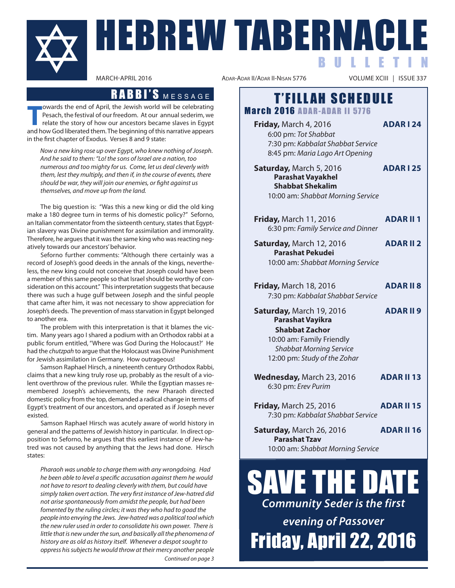

**The and Solution Cover of April, the Jewish world will be celebrating Pesach, the festival of our freedom. At our annual sederim, we relate the story of how our ancestors became slaves in Egypt and how God liberated them.** owards the end of April, the Jewish world will be celebrating pesach, the festival of our freedom. at our annual sederim, we relate the story of how our ancestors became slaves in Egypt in the first chapter of Exodus. Verses 8 and 9 state:

Now a new king rose up over Egypt, who knew nothing of Joseph. And he said to them: "Lo! the sons of Israel are a nation, too numerous and too mighty for us. Come, let us deal cleverly with them, lest they multiply, and then if, in the course of events, there should be war, they will join our enemies, or fight against us themselves, and move up from the land.

The big question is: "Was this a new king or did the old king make a 180 degree turn in terms of his domestic policy?" Seforno, an Italian commentator from the sixteenth century, states that Egyptian slavery was Divine punishment for assimilation and immorality. Therefore, he argues that it was the same king who was reacting negatively towards our ancestors' behavior.

seforno further comments: "although there certainly was a record of Joseph's good deeds in the annals of the kings, nevertheless, the new king could not conceive that Joseph could have been a member of this same people so that israel should be worthy of consideration on this account." This interpretation suggests that because there was such a huge gulf between Joseph and the sinful people that came after him, it was not necessary to show appreciation for Joseph's deeds. The prevention of mass starvation in Egypt belonged to another era.

The problem with this interpretation is that it blames the victim. Many years ago I shared a podium with an Orthodox rabbi at a public forum entitled, "Where was God During the Holocaust?' He had the chutzpah to argue that the Holocaust was Divine Punishment for Jewish assimilation in Germany. How outrageous!

Samson Raphael Hirsch, a nineteenth century Orthodox Rabbi, claims that a new king truly rose up, probably as the result of a violent overthrow of the previous ruler. While the Egyptian masses remembered Joseph's achievements, the new pharaoh directed domestic policy from the top, demanded a radical change in terms of egypt's treatment of our ancestors, and operated as if Joseph never existed.

Samson Raphael Hirsch was acutely aware of world history in general and the patterns of Jewish history in particular. in direct opposition to seforno, he argues that this earliest instance of Jew-hatred was not caused by anything that the Jews had done. Hirsch states:

Pharaoh was unable to charge them with any wrongdoing. Had he been able to level a specific accusation against them he would not have to resort to dealing cleverly with them, but could have simply taken overt action. The very first instance of Jew-hatred did not arise spontaneously from amidst the people, but had been fomented by the ruling circles; it was they who had to goad the people into envying the Jews. Jew-hatred was a political tool which the new ruler used in order to consolidate his own power. There is little that is new under the sun, and basically all the phenomena of history are as old as history itself. Whenever a despot sought to oppress his subjects he would throw at their mercy another people Continued on page 3

ADAR-ADAR II/ADAR II-NISAN 5776

# RABBI'S MESSAGE | T'FILLAH SCHEDULE **March 2016 ADAR-ADAR II 5776**

**Friday, March 4, 2016 <b>ADAR I 24** 

6:00 pm: Tot Shabbat 7:30 pm: Kabbalat Shabbat Service 8:45 pm: Maria Lago Art Opening

**Saturday, March 5, 2016 <b>ADAR I 25 Parashat Vayakhel Shabbat Shekalim** 10:00 am: Shabbat Morning Service

- **Friday, March 11, 2016 <b>ADAR II 1** 6:30 pm: Family Service and Dinner
- **Saturday, March 12, 2016 <b>ADAR II 2 Parashat Pekudei** 10:00 am: Shabbat Morning Service

| <b>Friday, March 18, 2016</b>     | <b>ADARII8</b> |
|-----------------------------------|----------------|
| 7:30 pm: Kabbalat Shabbat Service |                |

- **Saturday, March 19, 2016 <b>ADAR II 9 Parashat Vayikra Shabbat Zachor** 10:00 am: Family Friendly
	- Shabbat Morning Service 12:00 pm: Study of the Zohar
- **Wednesday, March 23, 2016 <b>ADAR II 13** 6:30 pm: Erev Purim
- **Friday, March 25, 2016 <b>ADAR II 15** 7:30 pm: Kabbalat Shabbat Service
- **Saturday, March 26, 2016 <b>ADAR II 16 Parashat Tzav** 10:00 am: Shabbat Morning Service

# SAVE THE DA *Community Seder is the first*

*evening of Passover* Friday, April 22, 2016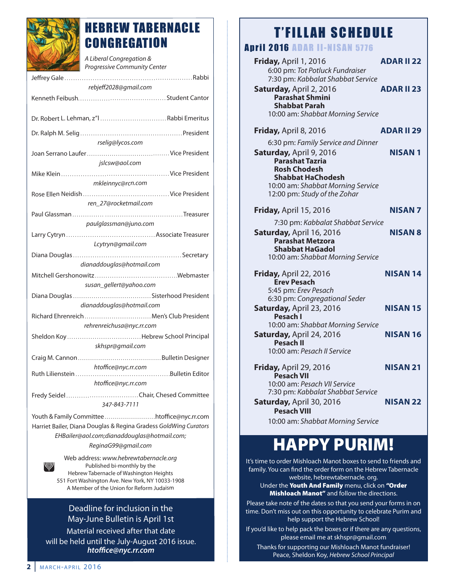

# HEBREW TABERNACLE **CONGREGATION**

| A Liberal Congregation &<br>Progressive Community Center         |
|------------------------------------------------------------------|
|                                                                  |
| rebjeff2028@gmail.com                                            |
|                                                                  |
| Dr. Robert L. Lehman, z"l  Rabbi Emeritus                        |
|                                                                  |
| rselig@lycos.com                                                 |
|                                                                  |
| jslcsw@aol.com                                                   |
|                                                                  |
| mkleinnyc@rcn.com                                                |
|                                                                  |
| ren 27@rocketmail.com                                            |
|                                                                  |
| paulglassman@juno.com                                            |
|                                                                  |
| Lcytryn@gmail.com                                                |
|                                                                  |
| dianaddouglas@hotmail.com                                        |
|                                                                  |
| susan_gellert@yahoo.com                                          |
|                                                                  |
| dianaddouglas@hotmail.com                                        |
| Richard Ehrenreich  Men's Club President                         |
| rehrenreichusa@nyc.rr.com                                        |
| Sheldon KoyHebrew School Principal                               |
| skhspr@gmail.com                                                 |
|                                                                  |
| htoffice@nyc.rr.com<br>Bulletin Editor<br>Ruth Lilienstein       |
| htoffice@nyc.rr.com                                              |
|                                                                  |
| 347-843-7111                                                     |
| Youth & Family Committee htoffice@nyc.rr.com                     |
| Harriet Bailer, Diana Douglas & Regina Gradess GoldWing Curators |
| EHBailer@aol.com;dianaddouglas@hotmail.com;                      |
| ReginaG99@gmail.com                                              |
| Web address: www.hebrewtabernacle.org                            |
| Published bi-monthly by the                                      |

published bi-monthly by the hebrew Tabernacle of Washington heights 551 Fort Washington ave. New York, NY 10033-1908 A Member of the Union for Reform Judaism

# Deadline for inclusion in the May-June Bulletin is April 1st

Material received after that date will be held until the July-August 2016 issue. *htoffice@nyc.rr.com*

# T'FILLAH SCHEDULE

# **Antil 2016 ADAR IL-NISAN 5776**

| <b>ADAR II 22</b>                 |
|-----------------------------------|
|                                   |
|                                   |
| <b>ADAR II 23</b>                 |
|                                   |
|                                   |
|                                   |
|                                   |
| <b>ADAR II 29</b>                 |
|                                   |
| NISAN 1                           |
|                                   |
|                                   |
|                                   |
|                                   |
|                                   |
| NISAN 7                           |
| 7:30 pm: Kabbalat Shabbat Service |
| <b>NISAN 8</b>                    |
|                                   |
|                                   |
|                                   |
| NISAN 14                          |
|                                   |
|                                   |
|                                   |
| NISAN 15                          |
|                                   |
|                                   |
| NISAN 16                          |
|                                   |
|                                   |
| NISAN 21                          |
|                                   |
|                                   |
|                                   |
| <b>NISAN 22</b>                   |
|                                   |
|                                   |
|                                   |

# **HAPPY PURIM!**

it's time to order Mishloach Manot boxes to send to friends and family. You can find the order form on the hebrew Tabernacle website, hebrewtabernacle. org. under the **Youth And Family** menu, click on **"Order Mishloach Manot"** and follow the directions.

please take note of the dates so that you send your forms in on time. Don't miss out on this opportunity to celebrate Purim and help support the Hebrew School!

if you'd like to help pack the boxes or if there are any questions, please email me at skhspr@gmail.com

Thanks for supporting our Mishloach Manot fundraiser! peace, sheldon Koy, Hebrew School Principal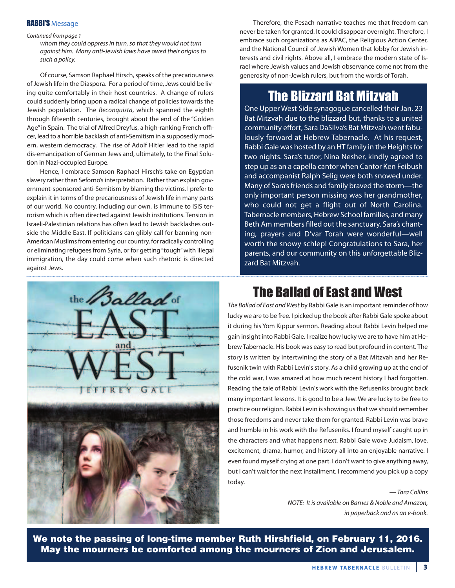### RABBI'S Message

#### Continued from page 1

whom they could oppress in turn, so that they would not turn against him. Many anti-Jewish laws have owed their origins to such a policy.

Of course, Samson Raphael Hirsch, speaks of the precariousness of Jewish life in the Diaspora. For a period of time, Jews could be living quite comfortably in their host countries. A change of rulers could suddenly bring upon a radical change of policies towards the Jewish population. The Reconquista, which spanned the eighth through fifteenth centuries, brought about the end of the "Golden Age" in Spain. The trial of Alfred Dreyfus, a high-ranking French officer, lead to a horrible backlash of anti-semitism in a supposedly modern, western democracy. The rise of adolf hitler lead to the rapid dis-emancipation of German Jews and, ultimately, to the Final Solution in Nazi-occupied Europe.

Hence, I embrace Samson Raphael Hirsch's take on Egyptian slavery rather than Seforno's interpretation. Rather than explain government-sponsored anti-Semitism by blaming the victims, I prefer to explain it in terms of the precariousness of Jewish life in many parts of our world. No country, including our own, is immune to ISIS terrorism which is often directed against Jewish institutions. Tension in israeli-palestinian relations has often lead to Jewish backlashes outside the Middle East. If politicians can glibly call for banning nonamerican Muslims from entering our country, for radically controlling or eliminating refugees from syria, or for getting "tough" with illegal immigration, the day could come when such rhetoric is directed against Jews.



Therefore, the pesach narrative teaches me that freedom can never be taken for granted. it could disappear overnight. Therefore, i embrace such organizations as AIPAC, the Religious Action Center, and the National council of Jewish Women that lobby for Jewish interests and civil rights. Above all, I embrace the modern state of Israel where Jewish values and Jewish observance come not from the generosity of non-Jewish rulers, but from the words of Torah.

# The Blizzard Bat Mitzvah

One Upper West Side synagogue cancelled their Jan. 23 Bat Mitzvah due to the blizzard but, thanks to a united community effort, Sara DaSilva's Bat Mitzvah went fabulously forward at Hebrew Tabernacle. At his request, Rabbi Gale was hosted by an HT family in the Heights for two nights. sara's tutor, Nina Nesher, kindly agreed to step up as an a capella cantor when cantor Ken Feibush and accompanist Ralph Selig were both snowed under. Many of sara's friends and family braved the storm—the only important person missing was her grandmother, who could not get a flight out of North carolina. Tabernacle members, hebrew school families, and many Beth Am members filled out the sanctuary. Sara's chanting, prayers and D'var Torah were wonderful—well worth the snowy schlep! Congratulations to Sara, her parents, and our community on this unforgettable Blizzard Bat Mitzvah.

# The Ballad of East and West

The Ballad of East and West by Rabbi Gale is an important reminder of how lucky we are to be free. I picked up the book after Rabbi Gale spoke about it during his Yom Kippur sermon. Reading about Rabbi Levin helped me gain insight into Rabbi Gale. I realize how lucky we are to have him at Hebrew Tabernacle. his book was easy to read but profound in content. The story is written by intertwining the story of a Bat Mitzvah and her Refusenik twin with Rabbi Levin's story. As a child growing up at the end of the cold war, I was amazed at how much recent history I had forgotten. Reading the tale of Rabbi Levin's work with the Refuseniks brought back many important lessons. it is good to be a Jew. We are lucky to be free to practice our religion. Rabbi Levin is showing us that we should remember those freedoms and never take them for granted. Rabbi Levin was brave and humble in his work with the Refuseniks. I found myself caught up in the characters and what happens next. Rabbi Gale wove Judaism, love, excitement, drama, humor, and history all into an enjoyable narrative. I even found myself crying at one part. I don't want to give anything away, but I can't wait for the next installment. I recommend you pick up a copy today.

> — Tara Collins NOTE: It is available on Barnes & Noble and Amazon, in paperback and as an e-book.

**We note the passing of long-time member Ruth Hirshfield, on February 11, 2016. May the mourners be comforted among the mourners of Zion and Jerusalem.**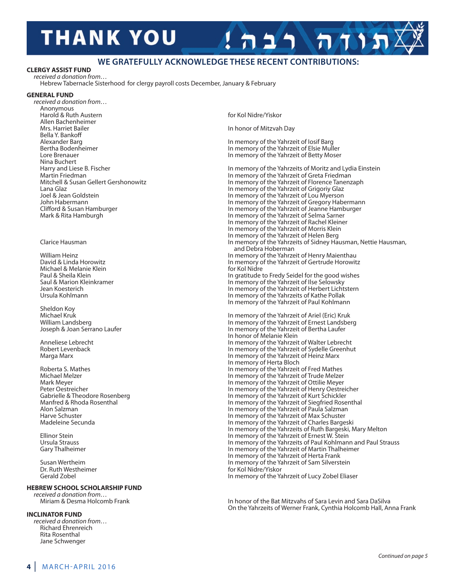# **THANK YOU**

# **We Gratefully acknoWledGe these recent contributions:**

In honor of Mitzvah Day

### **ClErGY ASSIST FUnd**

received a donation from… hebrew Tabernacle sisterhood for clergy payroll costs december, January & February

### **GEnErAl FUnd**

received a donation from… **Anonymous** harold & ruth austern for Kol Nidre/Yiskor Allen Bachenheimer<br>Mrs. Harriet Bailer Bella Y. Bankoff Alexander Barg in memory of the Yahrzeit of losif Barg in memory of the Yahrzeit of losif Barg<br>Bertha Bodenheimer in memory of the Yahrzeit of Elsie Mull Nina Buchert<br>Harry and Liese B. Fischer

Michael & Melanie Klein<br>Paul & Sheila Klein

Sheldon Koy<br>Michael Kruk

Susan Wertheim in memory of the Yahrzeit of Sam Silverstein<br>
Dr. Ruth Westheimer in memory of the Yahrzeit of Sam Silverstein Dr. Ruth Westheimer Form and the Control of The Control of The Control of The Yiskor Gerald Zobel<br>Gerald Zobel

### **HEbrEW SCHOOl SCHOlArSHIP FUnd**

received a donation from...<br>Miriam & Desma Holcomb Frank

### **InClInATOr FUnd**

received a donation from… Richard Ehrenreich Rita Rosenthal Jane schwenger

Bertha Bodenheimer in memory of the Yahrzeit of Elsie Muller<br>Lore Brenauer in memory of the Yahrzeit of Betty Moser In memory of the Yahrzeit of Betty Moser Harry and Liese B. Fischer in memory of the Yahrzeits of Moritz and Lydia Einstein<br>Martin Friedman in memory of the Yahrzeit of Greta Friedman Martin Friedman<br>Mitchell & Susan Gellert Gershonowitz **in the Yahrzeit of Greta Friedman**<br>In memory of the Yahrzeit of Florence Tanenz Mitchell & Susan Gellert Gershonowitz in memory of the Yahrzeit of Florence Tanenzaph<br>I ana Glaz lana Glaz in memory of the Yahrzeit of Grigoriy Glaz Joel & Jean Goldstein in memory of the Yahrzeit of Lou Myerson<br>John Habermann in memory of the Yahrzeit of Gregory Hab John Habermann in memory of the Yahrzeit of Gregory Habermann<br>Clifford & Susan Hamburger in memory of the Yahrzeit of Jeanne Hamburger Clifford & Susan Hamburger in memory of the Yahrzeit of Jeanne Hamburger<br>Mark & Rita Hamburgh in memory of the Yahrzeit of Selma Sarner In memory of the Yahrzeit of Selma Sarner In memory of the Yahrzeit of Rachel Kleiner in memory of the Yahrzeit of Morris Klein In memory of the Yahrzeit of Helen Berg clarice hausman in memory of the Yahrzeits of sidney hausman, Nettie hausman, and Debra Hoberman William Heinz in memory of the Yahrzeit of Henry Maienthau<br>1.1 David & Linda Horowitz **in memory of the Yahrzeit of Gertrude Horowit** In memory of the Yahrzeit of Gertrude Horowitz<br>for Kol Nidre Paul & Sheila Klein in gratitude to Fredy Seidel for the good wishes<br>Saul & Marion Kleinkramer **in grammatic settime in the self of the Sheil**h memory of the Yahrzeit of Ilse Selowsky Saul & Marion Kleinkramer in memory of the Yahrzeit of Ilse Selowsky<br>In memory of the Yahrzeit of Herbert Licht Jean Koesterich in memory of the Yahrzeit of herbert lichtstern In memory of the Yahrzeits of Kathe Pollak in memory of the Yahrzeit of paul Kohlmann Michael Kruk in Michael Kruk in memory of the Yahrzeit of Ariel (Eric) Kruk<br>In memory of the Yahrzeit of Ernest Landsbei William Landsberg in memory of the Yahrzeit of Ernest Landsberg in memory of the Yahrzeit of Ernest Landsberg<br>Joseph & Joan Serrano Laufer in memory of the Yahrzeit of Bertha Laufer In memory of the Yahrzeit of Bertha Laufer in honor of Melanie Klein anneliese lebrecht in memory of the Yahrzeit of Walter lebrecht Robert Levenback in memory of the Yahrzeit of Sydelle Greenhut<br>Marga Marx in memory of the Yahrzeit of Heinz Marx In memory of the Yahrzeit of Heinz Marx in memory of herta Bloch Roberta S. Mathes in memory of the Yahrzeit of Fred Mathes<br>Michael Melzer in memory of the Yahrzeit of Trude Melzer Michael Melzer in memory of the Yahrzeit of Trude Melzer Mark Meyer in memory of the Yahrzeit of Ottilie Meyer<br>Peter Oestreicher in memory of the Yahrzeit of Henry Oestrei Peter Oestreicher in memory of the Yahrzeit of Henry Oestreicher<br>Gabrielle & Theodore Rosenberg in memory of the Yahrzeit of Kurt Schickler Gabrielle & Theodore Rosenberg in Maria in memory of the Yahrzeit of Kurt Schickler<br>Manfred & Rhoda Rosenthal in memory of the Yahrzeit of Siegfried Rose Manfred & Rhoda Rosenthal in memory of the Yahrzeit of Siegfried Rosenthal<br>Alon Salzman in memory of the Yahrzeit of Paula Salzman Alon Salzman in memory of the Yahrzeit of Paula Salzman<br>Harve Schuster in memory of the Yahrzeit of Max Schuster Harve Schuster in memory of the Yahrzeit of Max Schuster<br>Madeleine Secunda in memory of the Yahrzeit of Charles Barge In memory of the Yahrzeit of Charles Bargeski In memory of the Yahrzeits of Ruth Bargeski, Mary Melton Ellinor Stein in memory of the Yahrzeit of Ernest W. Stein Ursula Strauss<br>Ursula Strauss in memory of the Yahrzeits of Paul Kohlmann Ursula Strauss in memory of the Yahrzeits of Paul Kohlmann and Paul Strauss<br>Gary Thalheimer Gary Thalheimer (Gary Thalheimer Strauss) and paul strauss in memory of the Yahrzeit of Martin Thalheimer In memory of the Yahrzeit of Martin Thalheimer in memory of the Yahrzeit of herta Frank

 $7115$ 

In honor of the Bat Mitzvahs of Sara Levin and Sara DaSilva on the Yahrzeits of Werner Frank, cynthia holcomb hall, anna Frank

In memory of the Yahrzeit of Lucy Zobel Eliaser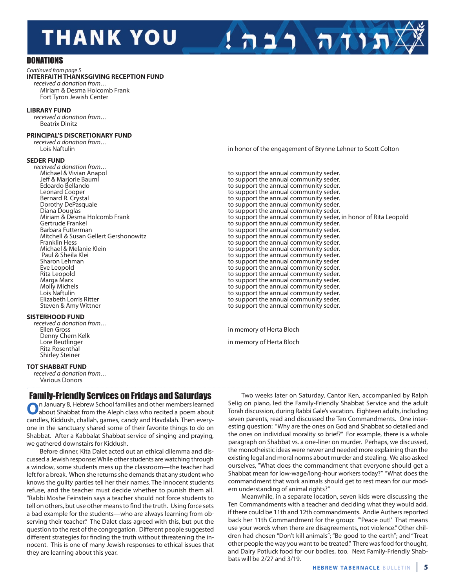# **THANK YOU**

**DONATIONS** 

#### Continued from page 5 **InTErFAITH THAnKSGIVInG rECEPTIOn FUnd**

received a donation from… Miriam & Desma Holcomb Frank Fort Tyron Jewish center

### **lIbrArY FUnd**

received a donation from… **Beatrix Dinitz** 

#### **PRINCIPAL'S DISCRETIONARY FUND**

| received a donation from |
|--------------------------|
| Lois Naftulin            |

#### **SEdEr FUnd**

received a donation from...<br>Michael & Vivian Anapol

### **SISTErHOOd FUnd**

received a donation from...<br>Fllen Gross Denny Chern Kelk<br>Lore Reutlinger Rita Rosenthal shirley steiner

### **TOT SHABBAT FUND**

received a donation from… **Various Donors** 

# **Family-Friendly Services on Fridays and Saturdays**<br>**n** January 8, Hebrew School families and other members learned

**O**n January 8, Hebrew School families and other members learned<br>about Shabbat from the Aleph class who recited a poem about candles, Kiddush, challah, games, candy and havdalah. Then everyone in the sanctuary shared some of their favorite things to do on shabbat. after a Kabbalat shabbat service of singing and praying, we gathered downstairs for Kiddush.

Before dinner, Kita Dalet acted out an ethical dilemma and discussed a Jewish response: While other students are watching through a window, some students mess up the classroom—the teacher had left for a break. When she returns she demands that any student who knows the guilty parties tell her their names. The innocent students refuse, and the teacher must decide whether to punish them all. "Rabbi Moshe Feinstein says a teacher should not force students to tell on others, but use other means to find the truth. Using force sets a bad example for the students—who are always learning from observing their teacher." The Dalet class agreed with this, but put the question to the rest of the congregation. Different people suggested different strategies for finding the truth without threatening the innocent. This is one of many Jewish responses to ethical issues that they are learning about this year.

in honor of the engagement of Brynne Lehner to Scott Colton

תוחה רבה!

Michael & Vivian anapol to support the annual community seder. Jeff & Marjorie Bauml Jeff & Marjorie Bauml<br>Edoardo Bellando November 2006 and the support the annual community seder. Edoardo Bellando **Edoardo Bellando to support the annual community seder.**<br>The support the annual community seder. leonard Cooper the support the annual community seder.<br>Bernard R. Crystal to support the annual community seder. Bernard R. Crystal to support the annual community seder.<br>1. crystal to support the annual community seder. Dorothy DePasquale do result to support the annual community seder.<br>Diana Douglas do result to support the annual community seder. Diana Douglas **diam**<br>Miriam & Desma Holcomb Frank **to support the annual community seder.**<br>to support the annual community seder, Miriam & Desma Holcomb Frank to support the annual community seder, in honor of Rita Leopold<br>Gertrude Frankel to support the annual community seder. Gertrude Frankel to support the annual community seder.<br>Barbara Futterman and the support the annual community seder. Barbara Futterman to support the annual community seder.<br>Mitchell & Susan Gellert Gershonowitz external to support the annual community seder. Mitchell & Susan Gellert Gershonowitz equal to support the annual community seder.<br>Franklin Hess to support the annual community seder. Franklin Hess<br>Michael & Melanie Klein **the annual community seder.**<br> **Franklin Hess** to support the annual community seder. Michael & Melanie Klein to support the annual community seder.<br>Paul & Sheila Klei to support the annual community seder. Paul & Sheila Klei **Paul & Sheila Klei to support the annual community seder.**<br>Sharon Lehman **Community seder** to support the annual community seder Sharon Lehman to support the annual community seder<br>Eve Leopold examples to support the annual community seder. Eve Leopold **Example 2** to support the annual community seder.<br>Rita Leopold **to support the annual community seder.** Rita Leopold **Rita Leopold** and the support the annual community seder.<br>Marga Marx **to support the annual community seder.** Marga Marx **Marga Marx** to support the annual community seder.<br>Molly Michels **Marga Community seder.** Molly Michels **Molly Michels** to support the annual community seder.<br>Lois Naftulin **to support the annual community seder.** Lois Naftulin to support the annual community seder.<br>Elizabeth Lorris Ritter to support the annual community seder. Elizabeth Lorris Ritter **the support the annual community seder.**<br>Steven & Amy Wittner to support the annual community seder. to support the annual community seder.

in memory of Herta Bloch

in memory of Herta Bloch

Two weeks later on Saturday, Cantor Ken, accompanied by Ralph selig on piano, led the Family-Friendly shabbat service and the adult Torah discussion, during Rabbi Gale's vacation. Eighteen adults, including seven parents, read and discussed the Ten Commandments. One interesting question: "Why are the ones on God and shabbat so detailed and the ones on individual morality so brief?" For example, there is a whole paragraph on Shabbat vs. a one-liner on murder. Perhaps, we discussed, the monotheistic ideas were newer and needed more explaining than the existing legal and moral norms about murder and stealing. We also asked ourselves, "What does the commandment that everyone should get a shabbat mean for low-wage/long-hour workers today?" "What does the commandment that work animals should get to rest mean for our modern understanding of animal rights?"

Meanwhile, in a separate location, seven kids were discussing the Ten commandments with a teacher and deciding what they would add, if there could be 11th and 12th commandments. Andie Authers reported back her 11th commandment for the group: "'peace out!' That means use your words when there are disagreements, not violence." Other children had chosen "Don't kill animals"; "Be good to the earth"; and "Treat other people the way you want to be treated." There was food for thought, and Dairy Potluck food for our bodies, too. Next Family-Friendly Shabbats will be 2/27 and 3/19.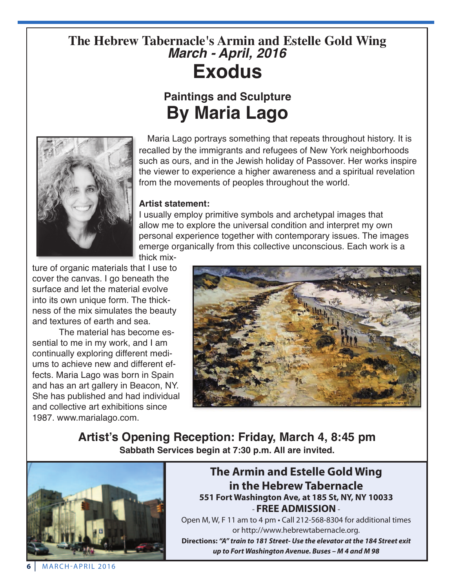# **The Hebrew Tabernacle's Armin and Estelle Gold Wing** *March - April, 2016* **Exodus**

# **Paintings and Sculpture By Maria Lago**



Maria Lago portrays something that repeats throughout history. It is recalled by the immigrants and refugees of New York neighborhoods such as ours, and in the Jewish holiday of Passover. Her works inspire the viewer to experience a higher awareness and a spiritual revelation from the movements of peoples throughout the world.

# **Artist statement:**

I usually employ primitive symbols and archetypal images that allow me to explore the universal condition and interpret my own personal experience together with contemporary issues. The images emerge organically from this collective unconscious. Each work is a thick mix-

ture of organic materials that I use to cover the canvas. I go beneath the surface and let the material evolve into its own unique form. The thickness of the mix simulates the beauty and textures of earth and sea.

The material has become essential to me in my work, and I am continually exploring different mediums to achieve new and different effects. Maria Lago was born in Spain and has an art gallery in Beacon, NY. She has published and had individual and collective art exhibitions since 1987. www.marialago.com.



**Artist's Opening Reception: Friday, March 4, 8:45 pm Sabbath Services begin at 7:30 p.m. All are invited.**



# **The Armin and Estelle Gold Wing in the Hebrew Tabernacle 551 Fort Washington Ave, at 185 St, nY, nY 10033** - **FrEE AdMISSIOn**-

open M, W, F 11 am to 4 pm • call 212-568-8304 for additional times or http://www.hebrewtabernacle.org.

**directions:** *"A" train to 181 Street- Use the elevator at the 184 Street exit up to Fort Washington Avenue. Buses – M 4 and M 98*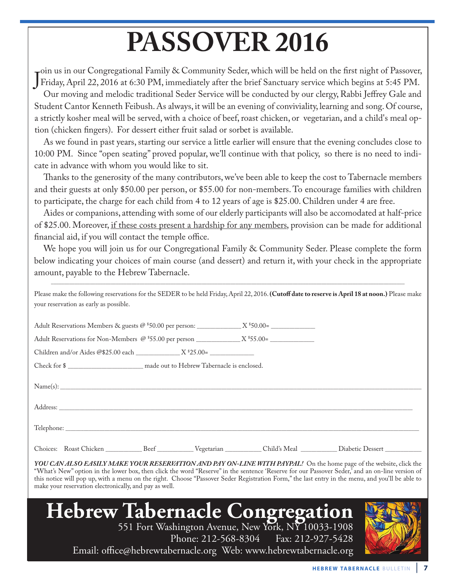# **PASSOVER 2016**

J Friday, April 22, 2016 at 6:30 PM, immediately after the brief Sanctuary service which begins at 5:45 PM.  $\blacksquare$ oin us in our Congregational Family & Community Seder, which will be held on the first night of Passover,

Our moving and melodic traditional Seder Service will be conducted by our clergy, Rabbi Jeffrey Gale and Student Cantor Kenneth Feibush. As always, it will be an evening of conviviality, learning and song. Of course, a strictly kosher meal will be served, with a choice of beef, roast chicken, or vegetarian, and a child's meal option (chicken fingers). For dessert either fruit salad or sorbet is available.

As we found in past years, starting our service a little earlier will ensure that the evening concludes close to 10:00 PM. Since "open seating" proved popular, we'll continue with that policy, so there is no need to indicate in advance with whom you would like to sit.

Thanks to the generosity of the many contributors, we've been able to keep the cost to Tabernacle members and their guests at only \$50.00 per person, or \$55.00 for non-members. To encourage families with children to participate, the charge for each child from 4 to 12 years of age is \$25.00. Children under 4 are free.

Aides or companions, attending with some of our elderly participants will also be accomodated at half-price of \$25.00. Moreover, if these costs present a hardship for any members, provision can be made for additional financial aid, if you will contact the temple office.

We hope you will join us for our Congregational Family & Community Seder. Please complete the form below indicating your choices of main course (and dessert) and return it, with your check in the appropriate amount, payable to the Hebrew Tabernacle.

Please make the following reservations for the SEDER to be held Friday, April 22, 2016. **(Cutoff date to reserve is April 18 at noon.)** Please make your reservation as early as possible.

\_\_\_\_\_\_\_\_\_\_\_\_\_\_\_\_\_\_\_\_\_\_\_\_\_\_\_\_\_\_\_\_\_\_\_\_\_\_\_\_\_\_\_\_\_\_\_\_\_\_\_\_\_\_\_\_\_\_\_\_\_\_\_\_\_\_\_\_\_\_\_\_\_\_\_\_\_\_\_\_\_\_\_\_\_\_\_\_\_\_\_\_\_\_\_\_\_\_\_\_\_\_\_\_\_\_\_\_\_\_\_\_\_\_\_\_\_\_\_\_\_\_\_\_\_\_\_\_\_\_\_\_\_\_\_\_

| Name(s): |  |  |
|----------|--|--|
|          |  |  |
|          |  |  |
|          |  |  |

*YOU CAN ALSO EASILY MAKE YOUR RESERVATION AND PAY ON-LINE WITH PAYPAL!* On the home page of the website, click the "What's New" option in the lower box, then click the word "Reserve" in the sentence 'Reserve for our Passover Seder,' and an on-line version of this notice will pop up, with a menu on the right. Choose "Passover Seder Registration Form," the last entry in the menu, and you'll be able to make your reservation electronically, and pay as well.



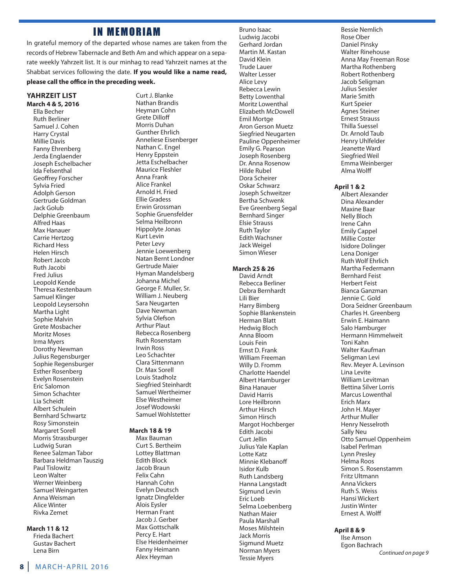# **IN MEMORIAM**

in grateful memory of the departed whose names are taken from the records of Hebrew Tabernacle and Beth Am and which appear on a separate weekly Yahrzeit list. it is our minhag to read Yahrzeit names at the shabbat services following the date. **If you would like a name read, please call the office in the preceding week.**

### **YAHrZEIT lIST**

**March 4 & 5, 2016** ella Becher **Ruth Berliner** samuel J. cohen harry crystal **Millie Davis** Fanny Ehrenberg Jerda Englaender Joseph Eschelbacher ida Felsenthal Geoffrey Forscher sylvia Fried adolph Gerson Gertrude Goldman Jack Golub Delphie Greenbaum alfred haas Max Hanauer carrie hertzog **Richard Hess** helen hirsch Robert Jacob **Ruth Jacobi** Fred Julius leopold Kende Theresa Kestenbaum samuel Klinger leopold leysersohn Martha Light sophie Malvin Grete Mosbacher Moritz Moses irma Myers Dorothy Newman Julius Regensburger Sophie Regensburger **Esther Rosenberg** Evelyn Rosenstein **Eric Salomon** simon schachter lia scheidt albert schulein Bernhard schwartz Rosy Simonstein Margaret sorell Morris Strassburger ludwig suran Renee Salzman Tabor Barbara heldman Tauszig paul Tislowitz leon Walter Werner Weinberg samuel Weingarten anna Weisman alice Winter Rivka Zemet

### **March 11 & 12**

Frieda Bachert Gustav Bachert lena Birn

curt J. Blanke Nathan Brandis heyman cohn Grete Dilloff Morris Duhan Gunther ehrlich Anneliese Eisenberger Nathan C. Engel Henry Eppstein Jetta Eschelbacher Maurice Fleshler anna Frank alice Frankel arnold h. Fried **Ellie Gradess** erwin Grossman sophie Gruensfelder Selma Heilbronn hippolyte Jonas Kurt levin Peter Levy Jennie loewenberg Natan Bernt londner Gertrude Maier hyman Mandelsberg Johanna Michel George F. Muller, sr. William J. Neuberg sara Neugarten Dave Newman sylvia olefson **Arthur Plaut** Rebecca Rosenberg Ruth Rosenstam **Irwin Ross** leo schachter clara sittenmann Dr. Max Sorell Louis Stadholz siegfried steinhardt samuel Wertheimer **Else Westheimer** Josef Wodowski samuel Wohlstetter

#### **March 18 & 19**

Max Bauman curt s. Bertheim lottey Blattman **Edith Block** Jacob Braun Felix cahn hannah cohn Evelyn Deutsch Ignatz Dingfelder Alois Eysler herman Frant Jacob J. Gerber Max Gottschalk Percy E. Hart Else Heidenheimer Fanny Heimann alex heyman

Bruno Isaac ludwig Jacobi Gerhard Jordan Martin M. Kastan David Klein Trude lauer Walter lesser alice levy Rebecca Lewin Betty lowenthal Moritz lowenthal Elizabeth McDowell Emil Mortge **Aron Gerson Muetz** siegfried Neugarten Pauline Oppenheimer Emily G. Pearson Joseph Rosenberg Dr. Anna Rosenow **Hilde Rubel** Dora Scheirer Oskar Schwarz Joseph schweitzer Bertha schwenk Eve Greenberg Segal Bernhard singer elsie strauss **Ruth Taylor Edith Wachsner** Jack Weigel simon Wieser

## **March 25 & 26**

David Arndt Rebecca Berliner Debra Bernhardt lili Bier harry Bimberg sophie Blankenstein herman Blatt hedwig Bloch anna Bloom louis Fein Ernst D. Frank William Freeman Willy D. Fromm charlotte haendel albert hamburger **Bina Hanauer** David Harris Lore Heilbronn **Arthur Hirsch** simon hirsch Margot Hochberger Edith Jacobi curt Jellin Julius Yale Kaplan lotte Katz Minnie Klebanoff isidor Kulb **Ruth Landsberg** hanna langstadt sigmund levin Eric Loeb selma loebenberg Nathan Maier paula Marshall Moses Milshtein Jack Morris Sigmund Muetz Norman Myers Tessie Myers

Bessie Nemlich Rose Ober Daniel Pinsky Walter Rinehouse Anna May Freeman Rose Martha Rothenberg Robert Rothenberg Jacob seligman Julius sessler Marie smith Kurt speier agnes steiner ernest strauss Thilla suessel Dr. Arnold Taub Henry Uhlfelder Jeanette Ward siegfried Weil Emma Weinberger alma Wolff **April 1 & 2**

albert alexander Dina Alexander Maxine Baar Nelly Bloch irene cahn **Emily Cappel** Millie coster Isidore Dolinger Lena Doniger **Ruth Wolf Ehrlich** Martha Federmann Bernhard Feist herbert Feist Bianca Ganzman Jennie c. Gold Dora Seidner Greenbaum charles h. Greenberg Erwin E. Haimann Salo Hamburger hermann himmelweit Toni Kahn Walter Kaufman Seligman Levi Rev. Meyer A. Levinson lina levite William levitman Bettina silver lorris Marcus lowenthal **Erich Marx** John H. Mayer arthur Muller henry Nesselroth sally Neu otto samuel oppenheim isabel perlman Lynn Presley Helma Roos Simon S. Rosenstamm Fritz Ultmann anna Vickers **Ruth S. Weiss** hansi Wickert Justin Winter Ernest A. Wolff

### **April 8 & 9**

Ilse Amson Egon Bachrach Continued on page 9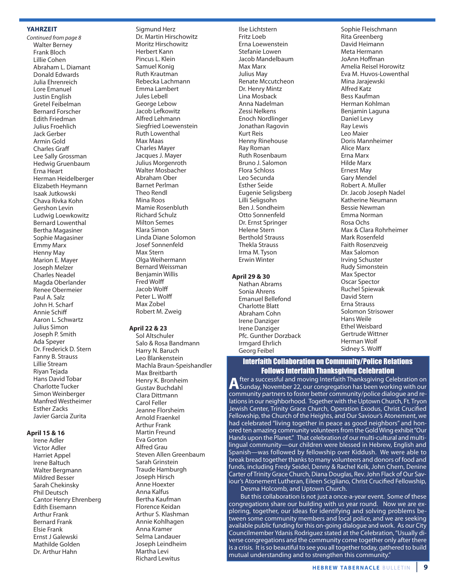### **YAHrZEIT**

Continued from page 8 Walter Berney Frank Bloch lillie cohen Abraham L. Diamant Donald Edwards Julia ehrenreich Lore Emanuel **Justin English** Gretel Feibelman Bernard Forscher **Fdith Friedman** Julius Froehlich Jack Gerber armin Gold charles Graff lee sally Grossman hedwig Gruenbaum Erna Heart Herman Heidelberger elizabeth heymann isaak Jutkowski Chava Rivka Kohn Gershon levin ludwig loewkowitz Bernard lowenthal Bertha Magasiner sophie Magasiner **Emmy Marx** henny May Marion E. Mayer Joseph Melzer charles Neadel Magda oberlander Renee Obermeier Paul A. Salz John H. Scharf annie schiff Aaron L. Schwartz Julius simon Joseph P. Smith Ada Speyer Dr. Frederick D. Stern Fanny B. Strauss lillie stream Riyan Tejada Hans David Tobar charlotte Tucker simon Weinberger Manfred Westheimer Esther Zacks Javier Garcia Zurita

### **April 15 & 16**

Irene Adler Victor adler **Harriet Appel** irene Baltuch Walter Bergmann Mildred Besser sarah chekinsky Phil Deutsch cantor henry ehrenberg Edith Eisemann arthur Frank Bernard Frank Elsie Frank Ernst J Galewski Mathilde Golden Dr. Arthur Hahn

sigmund herz Dr. Martin Hirschowitz Moritz Hirschowitz herbert Kann pincus l. Klein samuel Konig **Ruth Krautman** rebecka lachmann Emma Lambert Jules lebell George lebow Jacob lefkowitz alfred lehmann siegfried loewenstein **Ruth Lowenthal** Max Maas charles Mayer Jacques J. Mayer Julius Morgenroth Walter Mosbacher abraham ober Barnet perlman **Theo Rendl** Mina Roos Mamie Rosenbluth **Richard Schulz** Milton semes Klara simon Linda Diane Solomon Josef sonnenfeld Max stern olga Weihermann Bernard Weissman Benjamin Willis Fred Wolff Jacob Wolff peter l. Wolff Max Zobel Robert M. Zweig

### **April 22 & 23**

sol altschuler Salo & Rosa Bandmann harry N. Baruch leo Blankenstein Machla Braun-speishandler Max Breitbarth henry K. Bronheim Gustav Buchdahl Clara Dittmann carol Feller Jeanne Florsheim arnold Fraenkel arthur Frank Martin Freund **Fva Gorton** alfred Grau steven allen Greenbaum sarah Grinstein Traude Hamburgh Joseph hirsch anne hoexter anna Kalfus Bertha Kaufman Florence Keidan Arthur S. Klashman annie Kohlhagen anna Kramer selma landauer Joseph leindheim Martha levi **Richard Lewitus** 

ilse lichtstern Fritz loeb Erna Loewenstein stefanie lowen Jacob Mandelbaum Max Marx Julius May Renate Mccutcheon Dr. Henry Mintz lina Mosback anna Nadelman Zessi Nelkens **Enoch Nordlinger** Jonathan Ragovin Kurt Reis Henny Rinehouse Ray Roman Ruth Rosenbaum Bruno J. salomon Flora schloss leo secunda Esther Seide Eugenie Seligsberg Lilli Seligsohn Ben J. sondheim Otto Sonnenfeld Dr. Ernst Springer helene stern Berthold strauss **Thekla Strauss** irma M. Tyson **Erwin Winter** 

#### **April 29 & 30**

Nathan Abrams Sonia Ahrens Emanuel Bellefond charlotte Blatt abraham cohn Irene Danziger Irene Danziger Pfc. Gunther Dorzback irmgard ehrlich Georg Feibel

sophie Fleischmann Rita Greenberg David Heimann Meta Hermann JoAnn Hoffman Amelia Reisel Horowitz Eva M. Huvos-Lowenthal Mina Jarajewski alfred Katz Bess Kaufman herman Kohlman Benjamin laguna Daniel Levy **Ray Lewis** leo Maier Doris Mannheimer alice Marx erna Marx hilde Marx **Ernest May** Gary Mendel Robert A. Muller Dr. Jacob Joseph Nadel Katherine Neumann Bessie Newman emma Norman Rosa Ochs Max & Clara Rohrheimer Mark Rosenfeld Faith Rosenzveig Max Salomon irving schuster **Rudy Simonstein** Max Spector Oscar Spector Ruchel Spiewak David Stern **Erna Strauss** solomon strisower hans Weile Ethel Weisbard Gertrude Wittner herman Wolf sidney s. Wolff

# Interfaith Collaboration on Community/Police Relations

**Follows Interfaith Thanksgiving Celebration**<br>fter a successful and moving Interfaith Thanksgiving Celebration on **A** fter a successful and moving Interfaith Thanksgiving Celebration on<br>Sunday, November 22, our congregation has been working with our community partners to foster better community/police dialogue and relations in our neighborhood. Together with the Uptown Church, Ft. Tryon Jewish Center, Trinity Grace Church, Operation Exodus, Christ Crucified Fellowship, the Church of the Heights, and Our Saviour's Atonement, we had celebrated "living together in peace as good neighbors" and honored ten amazing community volunteers from the Gold Wing exhibit "Our Hands upon the Planet." That celebration of our multi-cultural and multilingual community—our children were blessed in hebrew, english and spanish—was followed by fellowship over Kiddush. We were able to break bread together thanks to many volunteers and donors of food and funds, including Fredy Seidel, Denny & Rachel Kelk, John Chern, Denine Carter of Trinity Grace Church, Diana Douglas, Rev. John Flack of Our Saviour's Atonement Lutheran, Eileen Scigliano, Christ Crucified Fellowship,

Desma Holcomb, and Uptown Church.

But this collaboration is not just a once-a-year event. some of these congregations share our building with us year round. Now we are exploring, together, our ideas for identifying and solving problems between some community members and local police, and we are seeking available public funding for this on-going dialogue and work. As our City Councilmember Ydanis Rodriguez stated at the Celebration, "Usually diverse congregations and the community come together only after there is a crisis. it is so beautiful to see you all together today, gathered to build mutual understanding and to strengthen this community."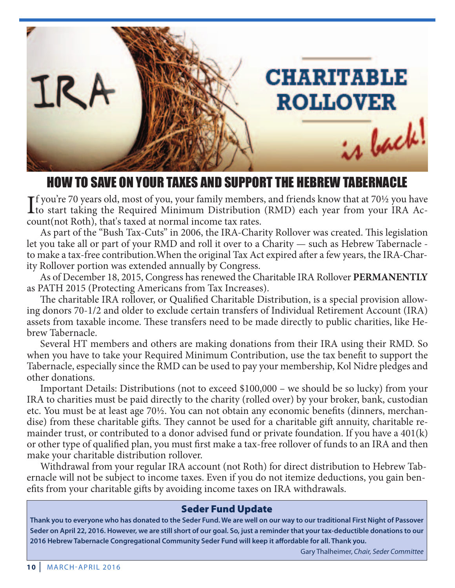

# HOW TO SAVE ON YOUR TAXES AND SUPPORT THE HEBREW TABERNACLE

If you're 70 years old, most of you, your family members, and friends know that at 70½ you have<br>to start taking the Required Minimum Distribution (RMD) each year from your IRA Acto start taking the Required Minimum Distribution (RMD) each year from your IRA Account(not Roth), that's taxed at normal income tax rates.

As part of the "Bush Tax-Cuts" in 2006, the IRA-Charity Rollover was created. This legislation let you take all or part of your RMD and roll it over to a Charity — such as Hebrew Tabernacle to make a tax-free contribution. When the original Tax Act expired after a few years, the IRA-Charity Rollover portion was extended annually by Congress.

As of December 18, 2015, Congress has renewed the Charitable IRA Rollover **PERMANENTLY** as PATH 2015 (Protecting Americans from Tax Increases).

The charitable IRA rollover, or Qualified Charitable Distribution, is a special provision allowing donors 70-1/2 and older to exclude certain transfers of Individual Retirement Account (IRA) assets from taxable income. These transfers need to be made directly to public charities, like Hebrew Tabernacle.

Several HT members and others are making donations from their IRA using their RMD. So when you have to take your Required Minimum Contribution, use the tax benefit to support the Tabernacle, especially since the RMD can be used to pay your membership, Kol Nidre pledges and other donations.

Important Details: Distributions (not to exceed \$100,000 – we should be so lucky) from your IRA to charities must be paid directly to the charity (rolled over) by your broker, bank, custodian etc. You must be at least age 70½. You can not obtain any economic benefits (dinners, merchandise) from these charitable gifts. They cannot be used for a charitable gift annuity, charitable remainder trust, or contributed to a donor advised fund or private foundation. If you have a 401(k) or other type of qualified plan, you must first make a tax-free rollover of funds to an IRA and then make your charitable distribution rollover.

Withdrawal from your regular IRA account (not Roth) for direct distribution to Hebrew Tabernacle will not be subject to income taxes. Even if you do not itemize deductions, you gain benefits from your charitable gifts by avoiding income taxes on IRA withdrawals.

# **Seder Fund Update**

**thank you to everyone who has donated to the seder fund. We are well on our way to our traditional first night of Passover seder on april 22, 2016. however, we are still short of our goal. so, just a reminder that your tax-deductible donations to our 2016 hebrew tabernacle congregational community seder fund will keep it affordable for all. thank you.**

Gary Thalheimer, Chair, Seder Committee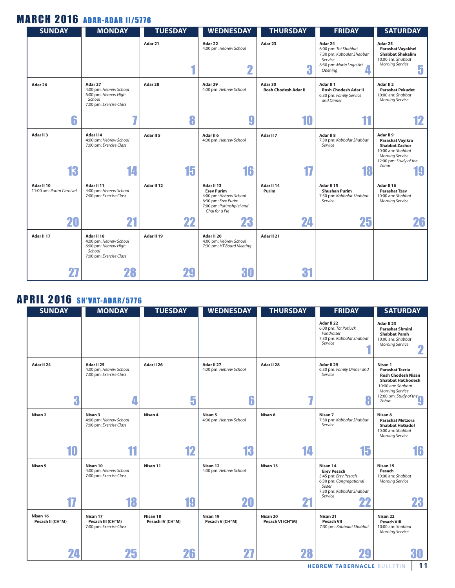# **MARCH 2016 ADAR-ADAR 11/5776**

| <b>SUNDAY</b>                          | <b>MONDAY</b>                                                                                     | <b>TUESDAY</b>       | <b>WEDNESDAY</b>                                                                                                               | <b>THURSDAY</b>                        | <b>FRIDAY</b>                                                                                                 | <b>SATURDAY</b>                                                                                                                 |
|----------------------------------------|---------------------------------------------------------------------------------------------------|----------------------|--------------------------------------------------------------------------------------------------------------------------------|----------------------------------------|---------------------------------------------------------------------------------------------------------------|---------------------------------------------------------------------------------------------------------------------------------|
|                                        |                                                                                                   | Adar 21<br>4         | Adar 22<br>4:00 pm: Hebrew School<br>2                                                                                         | Adar 23<br>3                           | Adar 24<br>6:00 pm: Tot Shabbat<br>7:30 pm: Kabbalat Shabbat<br>Service<br>8:30 pm: Maria Lago Art<br>Opening | Adar 25<br><b>Parashat Vayakhel</b><br><b>Shabbat Shekalim</b><br>10:00 am: Shabbat<br><b>Morning Service</b><br>5              |
| Adar 26                                | Adar 27<br>4:00 pm: Hebrew School<br>6:00 pm: Hebrew High<br>School<br>7:00 pm: Exercise Class    | Adar 28              | Adar 29<br>4:00 pm: Hebrew School                                                                                              | Adar 30<br><b>Rosh Chodesh Adar II</b> | Adar II <sub>1</sub><br><b>Rosh Chodesh Adar II</b><br>6:30 pm: Family Service<br>and Dinner                  | Adar II <sub>2</sub><br><b>Parashat Pekudet</b><br>10:00 am: Shabbat<br><b>Morning Service</b>                                  |
| 6                                      | 7                                                                                                 | 8                    | 9                                                                                                                              | 10                                     |                                                                                                               | 12                                                                                                                              |
| Adar II <sub>3</sub>                   | Adar II 4<br>4:00 pm: Hebrew School<br>7:00 pm: Exercise Class                                    | Adar II <sub>5</sub> | Adar II 6<br>4:00 pm: Hebrew School                                                                                            | Adar II <sub>7</sub>                   | Adar II 8<br>7:30 pm: Kabbalat Shabbat<br>Service                                                             | Adar II 9<br>Parashat Vayikra<br><b>Shabbat Zachor</b><br>10:00 am: Shabbat<br><b>Morning Service</b><br>12:00 pm: Study of the |
| 13                                     | 14                                                                                                | 15                   | 16                                                                                                                             | 17                                     | 18                                                                                                            | Zohar<br>19                                                                                                                     |
| Adar II 10<br>11:00 am: Purim Carnival | Adar II 11<br>4:00 pm: Hebrew School<br>7:00 pm: Exercise Class                                   | Adar II 12           | Adar II 13<br><b>Erev Purim</b><br>4:00 pm: Hebrew School<br>6:30 pm: Erev Purim<br>7:00 pm: Purimshpiel and<br>Chai for a Pie | Adar II 14<br>Purim                    | Adar II 15<br><b>Shushan Purim</b><br>7:30 pm: Kabbalat Shabbat<br>Service                                    | Adar II 16<br><b>Parashat Tzav</b><br>10:00 am: Shabbat<br><b>Morning Service</b>                                               |
| 20                                     | 21                                                                                                | 22                   | 23                                                                                                                             | 24                                     | 25                                                                                                            | 26                                                                                                                              |
| Adar II 17                             | Adar II 18<br>4:00 pm: Hebrew School<br>6:00 pm: Hebrew High<br>School<br>7:00 pm: Exercise Class | Adar II 19           | Adar II 20<br>4:00 pm: Hebrew School<br>7:30 pm: HT Board Meeting                                                              | Adar II 21                             |                                                                                                               |                                                                                                                                 |
| 27                                     | 28                                                                                                | 29                   | 30                                                                                                                             | 31                                     |                                                                                                               |                                                                                                                                 |

# **APRIL 2016 SH'VAT-ADAR/5776**

| <b>SUNDAY</b>    | <b>MONDAY</b>                                                        | <b>TUESDAY</b>   | <b>WEDNESDAY</b>                          | <b>THURSDAY</b>  | <b>FRIDAY</b>                                                                                                                            | <b>SATURDAY</b>                                                                                                                                                              |
|------------------|----------------------------------------------------------------------|------------------|-------------------------------------------|------------------|------------------------------------------------------------------------------------------------------------------------------------------|------------------------------------------------------------------------------------------------------------------------------------------------------------------------------|
|                  |                                                                      |                  |                                           |                  | Adar II 22<br>6:00 pm: Tot Potluck<br>Fundraiser<br>7:30 pm: Kabbalat Shabbat<br>Service                                                 | Adar II 23<br><b>Parashat Shminl</b><br><b>Shabbat Parah</b><br>10:00 am: Shabbat<br><b>Morning Service</b>                                                                  |
| Adar II 24<br>3  | Adar II 25<br>4:00 pm: Hebrew School<br>7:00 pm: Exercise Class<br>4 | Adar II 26<br>5  | Adar II 27<br>4:00 pm: Hebrew School<br>6 | Adar II 28<br>٠. | Adar II 29<br>6:30 pm: Family Dinner and<br>Service<br>A                                                                                 | Nisan 1<br><b>Parashat Tazria</b><br><b>Rosh Chodesh Nisan</b><br><b>Shabbat HaChodesh</b><br>10:00 am: Shabbat<br><b>Morning Service</b><br>12:00 pm: Study of the<br>Zohar |
| Nisan 2          | Nisan 3<br>4:00 pm: Hebrew School<br>7:00 pm: Exercise Class         | Nisan 4          | Nisan 5<br>4:00 pm: Hebrew School         | Nisan 6          | Nisan 7<br>7:30 pm: Kabbalat Shabbat<br>Service                                                                                          | Nisan 8<br><b>Parashat Metzora</b><br><b>Shabbat HaGadol</b><br>10:00 am: Shabbat<br><b>Morning Service</b>                                                                  |
| 10               | 11                                                                   | 12               | 13                                        | 14               | 15                                                                                                                                       | 16                                                                                                                                                                           |
| Nisan 9<br>17    | Nisan 10<br>4:00 pm: Hebrew School<br>7:00 pm: Exercise Class<br>18  | Nisan 11<br>19   | Nisan 12<br>4:00 pm: Hebrew School<br>20  | Nisan 13<br>21   | Nisan 14<br><b>Erev Pesach</b><br>5:45 pm: Erev Pesach<br>6:30 pm: Congregational<br>Seder<br>7:30 pm: Kabbalat Shabbat<br>Service<br>22 | Nisan 15<br>Pesach<br>10:00 am: Shabbat<br><b>Morning Service</b><br>23                                                                                                      |
| Nisan 16         | Nisan 17                                                             | Nisan 18         | Nisan 19                                  | Nisan 20         | Nisan 21                                                                                                                                 | Nisan 22                                                                                                                                                                     |
| Pesach II (CH"M) | Pesach III (CH"M)<br>7:00 pm: Exercise Class                         | Pesach IV (CH"M) | Pesach V (CH"M)                           | Pesach VI (CH"M) | Pesach VII<br>7:30 pm: Kabbalat Shabbat                                                                                                  | <b>Pesach VIII</b><br>10:00 am: Shabbat<br><b>Morning Service</b>                                                                                                            |
| 24               | 25                                                                   | 26               |                                           | 28               |                                                                                                                                          | 6U                                                                                                                                                                           |